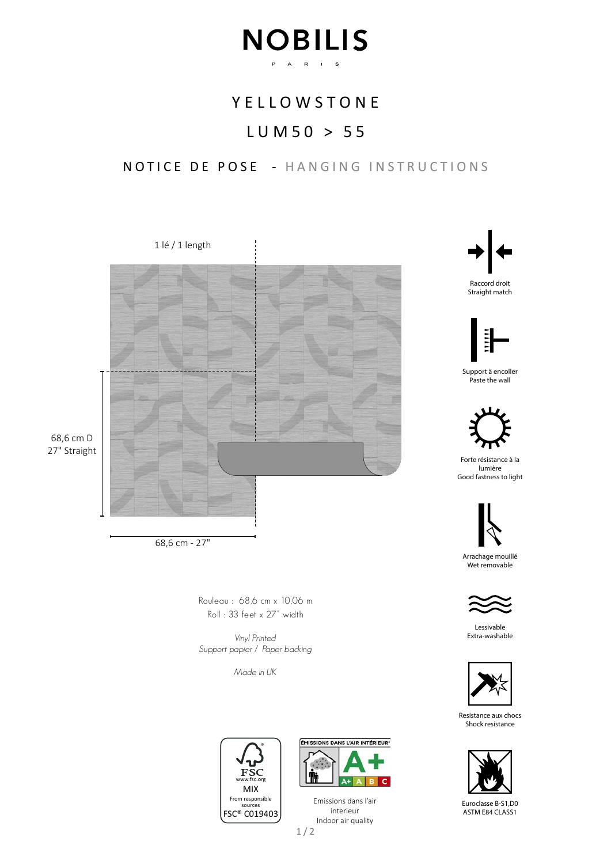# **NOBILIS** P A R I S

## **YELLOWSTONE**

# LUM50 > 55

## NOTICE DE POSE - HANGING INSTRUCTIONS



68,6 cm - 27"

Rouleau : 68,6 cm x 10,06 m Roll : 33 feet x 27" width

Vinyl Printed Support papier / Paper backing

Made in UK





1/2 Emissions dans l'air interieur Indoor air quality



Raccord droit Straight match



Support à encoller Paste the wall



Forte résistance à la lumière Good fastness to light



Arrachage mouillé Wet removable



Lessivable Extra-washable



Resistance aux chocs Shock resistance



Euroclasse B-S1,D0 ASTM E84 CLASS1

27" Straight